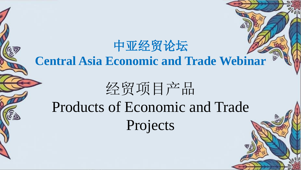## 经贸项目产品 Products of Economic and Trade Projects 中亚经贸论坛 **Central Asia Economic and Trade Webinar**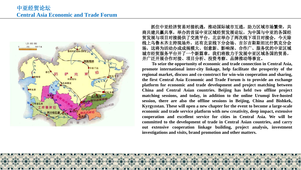## 中亚经贸论坛 **Central Asia Economic and Trade Forum**



抓住中亚经济贸易对接机遇,推动国际城市互通,助力区域市场繁荣,共 商共建共赢共享,举办的首届中亚区域经贸发展论坛,为中国与中亚的各国经 贸发展与项目对接提供了交流平台,北京举办了两次线下项目对接会,今天除 线上乌鲁木齐主持现场外,还有北京线下分会场、吉尔吉斯斯坦比什凯克分会 这将为活动办成成规模大、创意新、影响深、合作广、服务优的中亚区域 城市经贸服务平台开了一个新篇章,我们将致力于发展中亚区域各国的贸易, 并广泛开展合作对接、项目分析、投资考察、品牌推动等事宜。

**To seize the opportunity of economic and trade connection in Central Asia, promote international inter-city linkage, help facilitate the prosperity of the regional market, discuss and co-construct for win-win cooperation and sharing, the first Central Asia Economic and Trade Forum is to provide an exchange platform for economic and trade development and project matching between China and Central Asian countries. Beijing has held two offline project matching sessions, and today, in addition to the online Urumqi live-hosted session, there are also the offline sessions in Beijing, China and Bishkek, Kyrgyzstan. These will open a new chapter for the event to become a large-scale economic and trade service platform with new creativity, deep impact, extensive cooperation and excellent service for cities in Central Asia. We will be committed to the development of trade in Central Asian countries, and carry out extensive cooperation linkage building, project analysis, investment investigations and visits, brand promotion and other matters.**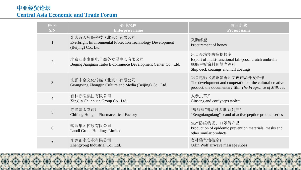## 中亚经贸论坛 **Central Asia Economic and Trade Forum**

**FINE** 

**id**W

| 序号<br>S/N      | 企业名称<br><b>Enterprise name</b>                                                                               | 项目名称<br><b>Project name</b>                                                                                                               |
|----------------|--------------------------------------------------------------------------------------------------------------|-------------------------------------------------------------------------------------------------------------------------------------------|
|                | 光大蓝天环保科技(北京)有限公司<br><b>Everbright Environmental Protection Technology Development</b><br>(Beijing) Co., Ltd. | 采购蜂蜜<br>Procurement of honey                                                                                                              |
| $\overline{2}$ | 北京江南泰伯电子商务发展中心有限公司<br>Beijing Jiangnan Taibo E-commerce Development Center Co., Ltd.                         | 出口多功能防摔拐杖伞<br>Export of multi-functional fall-proof crutch umbrella<br>舰船甲板涂料和船壳涂料<br>Ship deck coatings and hull coatings                |
| 3              | 光影中金文化传媒(北京)有限公司<br>Guangying Zhongjin Culture and Media (Beijing) Co., Ltd.                                 | 纪录电影《奶茶飘香》文创产品开发合作<br>The development and cooperation of the cultural creative<br>product, the documentary film The Fragrance of Milk Tea |
| $\overline{4}$ | 杏林春暖集团有限公司<br>Xinglin Chunnuan Group Co., Ltd.                                                               | 人参虫草片<br>Ginseng and cordyceps tablets                                                                                                    |
| 5              | 赤峰宏太制药厂<br>Chifeng Hongtai Pharmaceutical Factory                                                            | "曾娘娘"牌活性多肽系列产品<br>"Zengniangniang" brand of active peptide product series                                                                 |
| 6              | 落地集团控股有限公司<br>Luodi Group Holdings Limited                                                                   | 生产防疫物资、口罩等产品<br>Production of epidemic prevention materials, masks and<br>other similar products                                          |
|                | 东莞正永实业有限公司<br>Zhengyong Industrial Co., Ltd.                                                                 | 奥林狼气浪按摩鞋<br>Orlin Wolf airwave massage shoes                                                                                              |